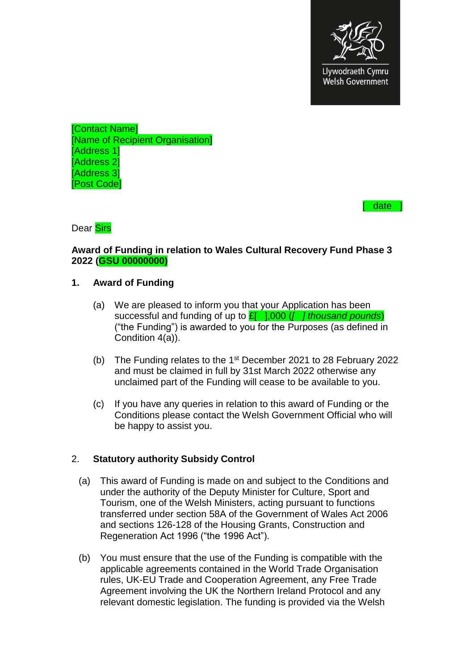

[Contact Name] [Name of Recipient Organisation] [Address<sup>1</sup>] [Address 2] [Address 3] [Post Code]

date  $\overline{\phantom{a}}$ 

Dear Sirs

#### **Award of Funding in relation to Wales Cultural Recovery Fund Phase 3 2022 (GSU 00000000)**

#### **1. Award of Funding**

- (a) We are pleased to inform you that your Application has been successful and funding of up to £[ ],000 (*[ ] thousand pounds*) ("the Funding") is awarded to you for the Purposes (as defined in Condition 4(a)).
- (b) The Funding relates to the  $1<sup>st</sup>$  December 2021 to 28 February 2022 and must be claimed in full by 31st March 2022 otherwise any unclaimed part of the Funding will cease to be available to you.
- (c) If you have any queries in relation to this award of Funding or the Conditions please contact the Welsh Government Official who will be happy to assist you.

#### 2. **Statutory authority Subsidy Control**

- (a) This award of Funding is made on and subject to the Conditions and under the authority of the Deputy Minister for Culture, Sport and Tourism, one of the Welsh Ministers, acting pursuant to functions transferred under section 58A of the Government of Wales Act 2006 and sections 126-128 of the Housing Grants, Construction and Regeneration Act 1996 ("the 1996 Act").
- (b) You must ensure that the use of the Funding is compatible with the applicable agreements contained in the World Trade Organisation rules, UK-EU Trade and Cooperation Agreement, any Free Trade Agreement involving the UK the Northern Ireland Protocol and any relevant domestic legislation. The funding is provided via the Welsh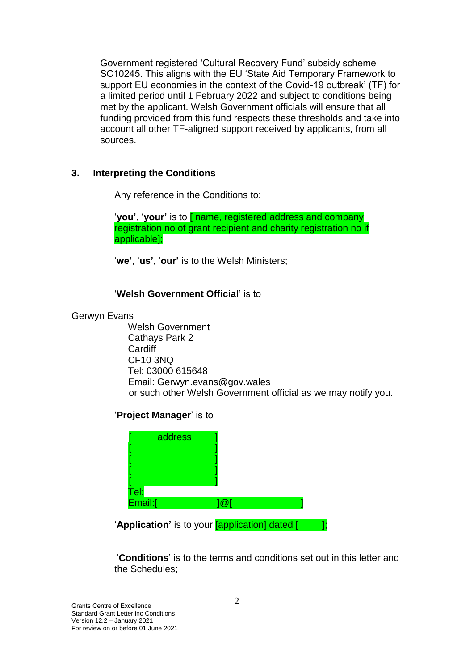Government registered 'Cultural Recovery Fund' subsidy scheme SC10245. This aligns with the EU 'State Aid Temporary Framework to support EU economies in the context of the Covid-19 outbreak' (TF) for a limited period until 1 February 2022 and subject to conditions being met by the applicant. Welsh Government officials will ensure that all funding provided from this fund respects these thresholds and take into account all other TF-aligned support received by applicants, from all sources.

## **3. Interpreting the Conditions**

Any reference in the Conditions to:

'**you'**, '**your'** is to [ name, registered address and company registration no of grant recipient and charity registration no if applicable];

'**we'**, '**us'**, '**our'** is to the Welsh Ministers;

## '**Welsh Government Official**' is to

#### Gerwyn Evans

Welsh Government Cathays Park 2 **Cardiff** CF10 3NQ [Tel: 03000](tel:0300) 615648 Email: Gerwyn.evans@gov.wales or such other Welsh Government official as we may notify you.

#### '**Project Manager**' is to

| address         |  |
|-----------------|--|
|                 |  |
|                 |  |
| Tel:<br>Email:[ |  |
|                 |  |

**'Application'** is to your **[application]** dated [ ];

'**Conditions**' is to the terms and conditions set out in this letter and the Schedules;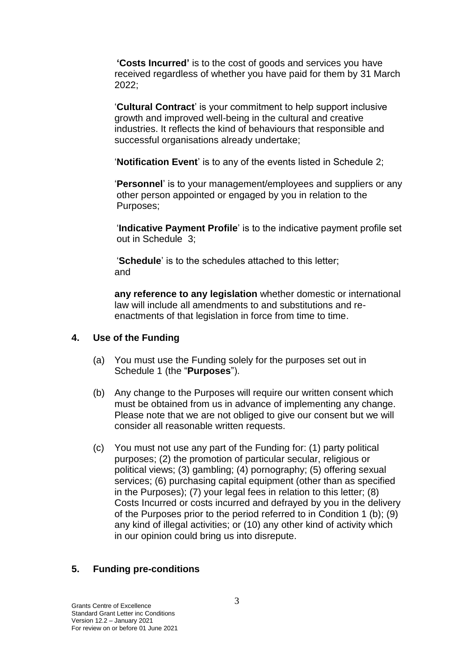**'Costs Incurred'** is to the cost of goods and services you have received regardless of whether you have paid for them by 31 March 2022;

'**Cultural Contract**' is your commitment to help support inclusive growth and improved well-being in the cultural and creative industries. It reflects the kind of behaviours that responsible and successful organisations already undertake;

'**Notification Event**' is to any of the events listed in Schedule 2;

'**Personnel**' is to your management/employees and suppliers or any other person appointed or engaged by you in relation to the Purposes;

'**Indicative Payment Profile**' is to the indicative payment profile set out in Schedule 3;

'**Schedule**' is to the schedules attached to this letter; and

**any reference to any legislation** whether domestic or international law will include all amendments to and substitutions and reenactments of that legislation in force from time to time.

### **4. Use of the Funding**

- (a) You must use the Funding solely for the purposes set out in Schedule 1 (the "**Purposes**").
- (b) Any change to the Purposes will require our written consent which must be obtained from us in advance of implementing any change. Please note that we are not obliged to give our consent but we will consider all reasonable written requests.
- (c) You must not use any part of the Funding for: (1) party political purposes; (2) the promotion of particular secular, religious or political views; (3) gambling; (4) pornography; (5) offering sexual services; (6) purchasing capital equipment (other than as specified in the Purposes); (7) your legal fees in relation to this letter; (8) Costs Incurred or costs incurred and defrayed by you in the delivery of the Purposes prior to the period referred to in Condition 1 (b); (9) any kind of illegal activities; or (10) any other kind of activity which in our opinion could bring us into disrepute.

#### **5. Funding pre-conditions**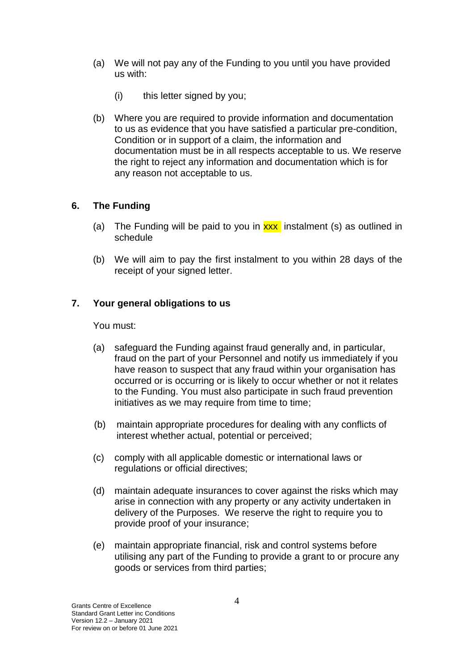- (a) We will not pay any of the Funding to you until you have provided us with:
	- (i) this letter signed by you;
- (b) Where you are required to provide information and documentation to us as evidence that you have satisfied a particular pre-condition, Condition or in support of a claim, the information and documentation must be in all respects acceptable to us. We reserve the right to reject any information and documentation which is for any reason not acceptable to us.

## **6. The Funding**

- (a) The Funding will be paid to you in  $\frac{xx}{x}$  instalment (s) as outlined in schedule
- (b) We will aim to pay the first instalment to you within 28 days of the receipt of your signed letter.

## **7. Your general obligations to us**

You must:

- (a) safeguard the Funding against fraud generally and, in particular, fraud on the part of your Personnel and notify us immediately if you have reason to suspect that any fraud within your organisation has occurred or is occurring or is likely to occur whether or not it relates to the Funding. You must also participate in such fraud prevention initiatives as we may require from time to time;
- (b) maintain appropriate procedures for dealing with any conflicts of interest whether actual, potential or perceived;
- (c) comply with all applicable domestic or international laws or regulations or official directives;
- (d) maintain adequate insurances to cover against the risks which may arise in connection with any property or any activity undertaken in delivery of the Purposes. We reserve the right to require you to provide proof of your insurance;
- (e) maintain appropriate financial, risk and control systems before utilising any part of the Funding to provide a grant to or procure any goods or services from third parties;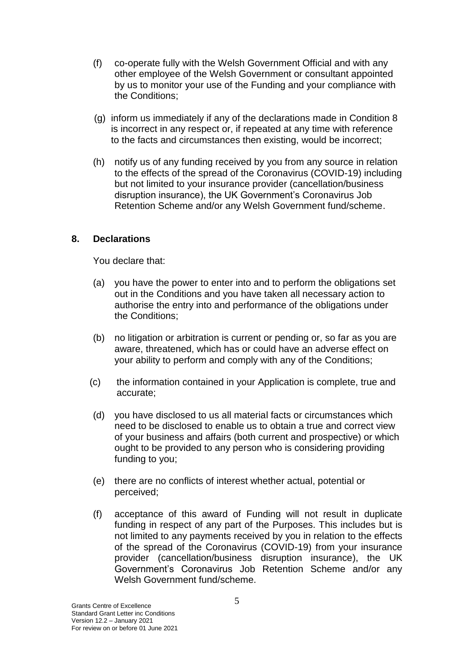- (f) co-operate fully with the Welsh Government Official and with any other employee of the Welsh Government or consultant appointed by us to monitor your use of the Funding and your compliance with the Conditions;
- (g) inform us immediately if any of the declarations made in Condition 8 is incorrect in any respect or, if repeated at any time with reference to the facts and circumstances then existing, would be incorrect;
- (h) notify us of any funding received by you from any source in relation to the effects of the spread of the Coronavirus (COVID-19) including but not limited to your insurance provider (cancellation/business disruption insurance), the UK Government's Coronavirus Job Retention Scheme and/or any Welsh Government fund/scheme.

## **8. Declarations**

You declare that:

- (a) you have the power to enter into and to perform the obligations set out in the Conditions and you have taken all necessary action to authorise the entry into and performance of the obligations under the Conditions;
- (b) no litigation or arbitration is current or pending or, so far as you are aware, threatened, which has or could have an adverse effect on your ability to perform and comply with any of the Conditions;
- (c) the information contained in your Application is complete, true and accurate;
- (d) you have disclosed to us all material facts or circumstances which need to be disclosed to enable us to obtain a true and correct view of your business and affairs (both current and prospective) or which ought to be provided to any person who is considering providing funding to you;
- (e) there are no conflicts of interest whether actual, potential or perceived;
- (f) acceptance of this award of Funding will not result in duplicate funding in respect of any part of the Purposes. This includes but is not limited to any payments received by you in relation to the effects of the spread of the Coronavirus (COVID-19) from your insurance provider (cancellation/business disruption insurance), the UK Government's Coronavirus Job Retention Scheme and/or any Welsh Government fund/scheme.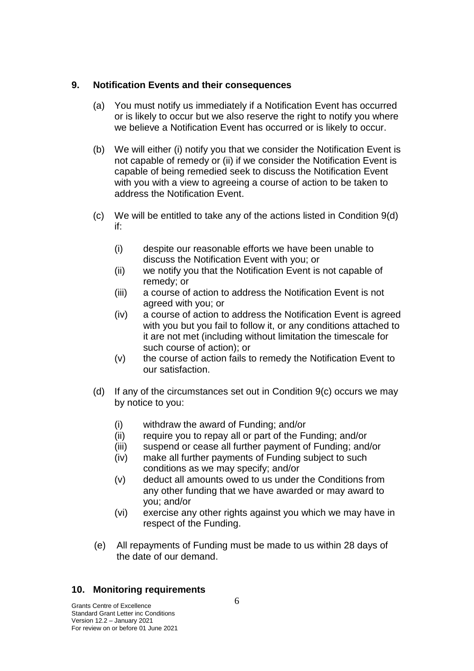### **9. Notification Events and their consequences**

- (a) You must notify us immediately if a Notification Event has occurred or is likely to occur but we also reserve the right to notify you where we believe a Notification Event has occurred or is likely to occur.
- (b) We will either (i) notify you that we consider the Notification Event is not capable of remedy or (ii) if we consider the Notification Event is capable of being remedied seek to discuss the Notification Event with you with a view to agreeing a course of action to be taken to address the Notification Event.
- (c) We will be entitled to take any of the actions listed in Condition 9(d) if:
	- (i) despite our reasonable efforts we have been unable to discuss the Notification Event with you; or
	- (ii) we notify you that the Notification Event is not capable of remedy; or
	- (iii) a course of action to address the Notification Event is not agreed with you; or
	- (iv) a course of action to address the Notification Event is agreed with you but you fail to follow it, or any conditions attached to it are not met (including without limitation the timescale for such course of action); or
	- (v) the course of action fails to remedy the Notification Event to our satisfaction.
- (d) If any of the circumstances set out in Condition 9(c) occurs we may by notice to you:
	- (i) withdraw the award of Funding; and/or
	- (ii) require you to repay all or part of the Funding; and/or
	- (iii) suspend or cease all further payment of Funding; and/or
	- (iv) make all further payments of Funding subject to such conditions as we may specify; and/or
	- (v) deduct all amounts owed to us under the Conditions from any other funding that we have awarded or may award to you; and/or
	- (vi) exercise any other rights against you which we may have in respect of the Funding.
- (e) All repayments of Funding must be made to us within 28 days of the date of our demand.

## **10. Monitoring requirements**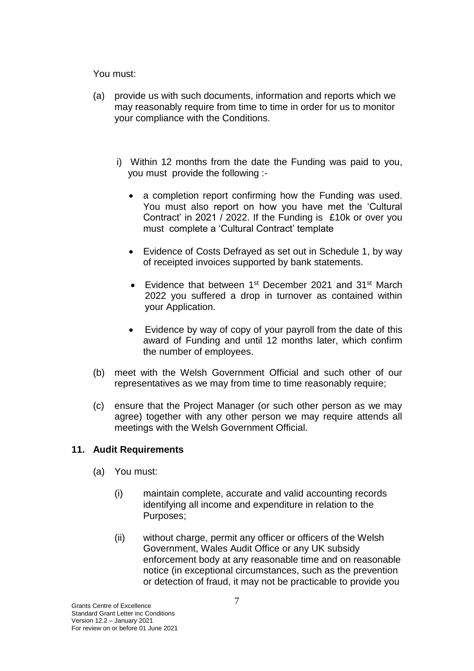You must:

- (a) provide us with such documents, information and reports which we may reasonably require from time to time in order for us to monitor your compliance with the Conditions.
	- i) Within 12 months from the date the Funding was paid to you, you must provide the following :-
		- a completion report confirming how the Funding was used. You must also report on how you have met the 'Cultural Contract' in 2021 / 2022. If the Funding is £10k or over you must complete a 'Cultural Contract' template
		- Evidence of Costs Defrayed as set out in Schedule 1, by way of receipted invoices supported by bank statements.
		- Evidence that between 1<sup>st</sup> December 2021 and 31<sup>st</sup> March 2022 you suffered a drop in turnover as contained within your Application.
		- Evidence by way of copy of your payroll from the date of this award of Funding and until 12 months later, which confirm the number of employees.
- (b) meet with the Welsh Government Official and such other of our representatives as we may from time to time reasonably require;
- (c) ensure that the Project Manager (or such other person as we may agree) together with any other person we may require attends all meetings with the Welsh Government Official.

## **11. Audit Requirements**

- (a) You must:
	- (i) maintain complete, accurate and valid accounting records identifying all income and expenditure in relation to the Purposes;
	- (ii) without charge, permit any officer or officers of the Welsh Government, Wales Audit Office or any UK subsidy enforcement body at any reasonable time and on reasonable notice (in exceptional circumstances, such as the prevention or detection of fraud, it may not be practicable to provide you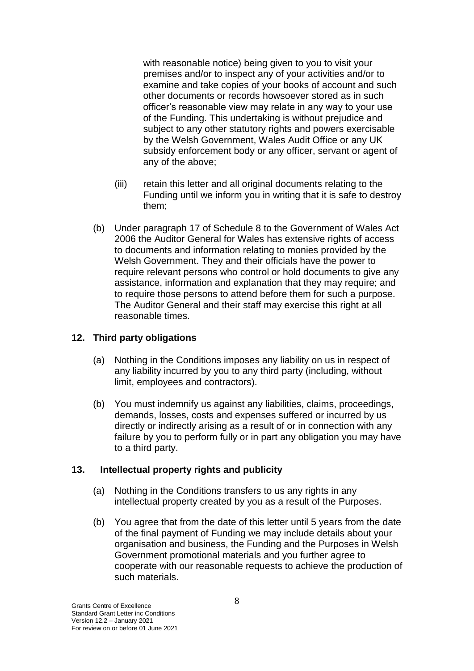with reasonable notice) being given to you to visit your premises and/or to inspect any of your activities and/or to examine and take copies of your books of account and such other documents or records howsoever stored as in such officer's reasonable view may relate in any way to your use of the Funding. This undertaking is without prejudice and subject to any other statutory rights and powers exercisable by the Welsh Government, Wales Audit Office or any UK subsidy enforcement body or any officer, servant or agent of any of the above;

- (iii) retain this letter and all original documents relating to the Funding until we inform you in writing that it is safe to destroy them;
- (b) Under paragraph 17 of Schedule 8 to the Government of Wales Act 2006 the Auditor General for Wales has extensive rights of access to documents and information relating to monies provided by the Welsh Government. They and their officials have the power to require relevant persons who control or hold documents to give any assistance, information and explanation that they may require; and to require those persons to attend before them for such a purpose. The Auditor General and their staff may exercise this right at all reasonable times.

## **12. Third party obligations**

- (a) Nothing in the Conditions imposes any liability on us in respect of any liability incurred by you to any third party (including, without limit, employees and contractors).
- (b) You must indemnify us against any liabilities, claims, proceedings, demands, losses, costs and expenses suffered or incurred by us directly or indirectly arising as a result of or in connection with any failure by you to perform fully or in part any obligation you may have to a third party.

#### **13. Intellectual property rights and publicity**

- (a) Nothing in the Conditions transfers to us any rights in any intellectual property created by you as a result of the Purposes.
- (b) You agree that from the date of this letter until 5 years from the date of the final payment of Funding we may include details about your organisation and business, the Funding and the Purposes in Welsh Government promotional materials and you further agree to cooperate with our reasonable requests to achieve the production of such materials.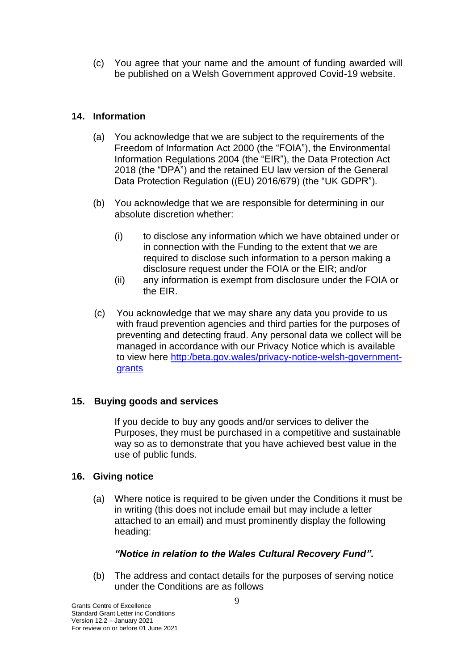(c) You agree that your name and the amount of funding awarded will be published on a Welsh Government approved Covid-19 website.

## **14. Information**

- (a) You acknowledge that we are subject to the requirements of the Freedom of Information Act 2000 (the "FOIA"), the Environmental Information Regulations 2004 (the "EIR"), the Data Protection Act 2018 (the "DPA") and the retained EU law version of the General Data Protection Regulation ((EU) 2016/679) (the "UK GDPR").
- (b) You acknowledge that we are responsible for determining in our absolute discretion whether:
	- (i) to disclose any information which we have obtained under or in connection with the Funding to the extent that we are required to disclose such information to a person making a disclosure request under the FOIA or the EIR; and/or
	- (ii) any information is exempt from disclosure under the FOIA or the EIR.
- (c) You acknowledge that we may share any data you provide to us with fraud prevention agencies and third parties for the purposes of preventing and detecting fraud. Any personal data we collect will be managed in accordance with our Privacy Notice which is available to view here [http:/beta.gov.wales/privacy-notice-welsh-government](https://beta.gov.wales/privacy-notice-welsh-government-grants)[grants](https://beta.gov.wales/privacy-notice-welsh-government-grants)

# **15. Buying goods and services**

If you decide to buy any goods and/or services to deliver the Purposes, they must be purchased in a competitive and sustainable way so as to demonstrate that you have achieved best value in the use of public funds.

## **16. Giving notice**

(a) Where notice is required to be given under the Conditions it must be in writing (this does not include email but may include a letter attached to an email) and must prominently display the following heading:

## *"Notice in relation to the Wales Cultural Recovery Fund".*

(b) The address and contact details for the purposes of serving notice under the Conditions are as follows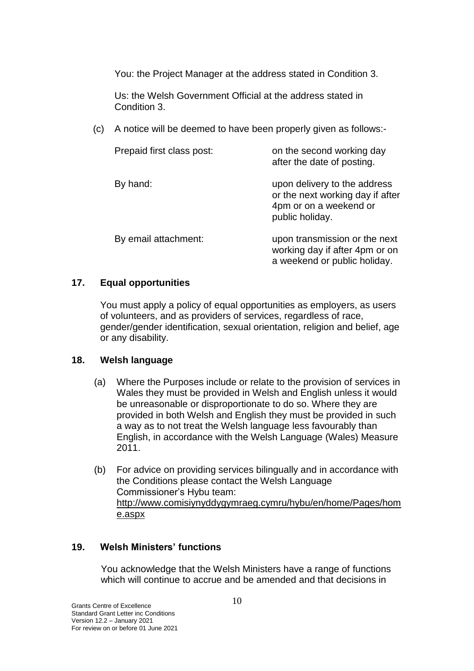You: the Project Manager at the address stated in Condition 3.

Us: the Welsh Government Official at the address stated in Condition 3.

(c) A notice will be deemed to have been properly given as follows:-

| Prepaid first class post: | on the second working day<br>after the date of posting.                                                       |
|---------------------------|---------------------------------------------------------------------------------------------------------------|
| By hand:                  | upon delivery to the address<br>or the next working day if after<br>4pm or on a weekend or<br>public holiday. |
| By email attachment:      | upon transmission or the next<br>working day if after 4pm or on<br>a weekend or public holiday.               |

## **17. Equal opportunities**

You must apply a policy of equal opportunities as employers, as users of volunteers, and as providers of services, regardless of race, gender/gender identification, sexual orientation, religion and belief, age or any disability.

#### **18. Welsh language**

- (a) Where the Purposes include or relate to the provision of services in Wales they must be provided in Welsh and English unless it would be unreasonable or disproportionate to do so. Where they are provided in both Welsh and English they must be provided in such a way as to not treat the Welsh language less favourably than English, in accordance with the Welsh Language (Wales) Measure 2011.
- (b) For advice on providing services bilingually and in accordance with the Conditions please contact the Welsh Language Commissioner's Hybu team: [http://www.comisiynyddygymraeg.cymru/hybu/en/home/Pages/hom](http://www.comisiynyddygymraeg.cymru/hybu/en/home/Pages/home.aspx) [e.aspx](http://www.comisiynyddygymraeg.cymru/hybu/en/home/Pages/home.aspx)

## **19. Welsh Ministers' functions**

You acknowledge that the Welsh Ministers have a range of functions which will continue to accrue and be amended and that decisions in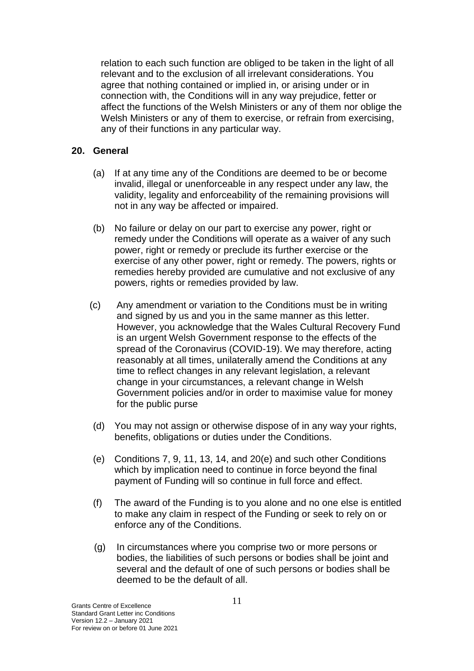relation to each such function are obliged to be taken in the light of all relevant and to the exclusion of all irrelevant considerations. You agree that nothing contained or implied in, or arising under or in connection with, the Conditions will in any way prejudice, fetter or affect the functions of the Welsh Ministers or any of them nor oblige the Welsh Ministers or any of them to exercise, or refrain from exercising, any of their functions in any particular way.

## **20. General**

- (a) If at any time any of the Conditions are deemed to be or become invalid, illegal or unenforceable in any respect under any law, the validity, legality and enforceability of the remaining provisions will not in any way be affected or impaired.
- (b) No failure or delay on our part to exercise any power, right or remedy under the Conditions will operate as a waiver of any such power, right or remedy or preclude its further exercise or the exercise of any other power, right or remedy. The powers, rights or remedies hereby provided are cumulative and not exclusive of any powers, rights or remedies provided by law.
- (c) Any amendment or variation to the Conditions must be in writing and signed by us and you in the same manner as this letter. However, you acknowledge that the Wales Cultural Recovery Fund is an urgent Welsh Government response to the effects of the spread of the Coronavirus (COVID-19). We may therefore, acting reasonably at all times, unilaterally amend the Conditions at any time to reflect changes in any relevant legislation, a relevant change in your circumstances, a relevant change in Welsh Government policies and/or in order to maximise value for money for the public purse
- (d) You may not assign or otherwise dispose of in any way your rights, benefits, obligations or duties under the Conditions.
- (e) Conditions 7, 9, 11, 13, 14, and 20(e) and such other Conditions which by implication need to continue in force beyond the final payment of Funding will so continue in full force and effect.
- (f) The award of the Funding is to you alone and no one else is entitled to make any claim in respect of the Funding or seek to rely on or enforce any of the Conditions.
- (g) In circumstances where you comprise two or more persons or bodies, the liabilities of such persons or bodies shall be joint and several and the default of one of such persons or bodies shall be deemed to be the default of all.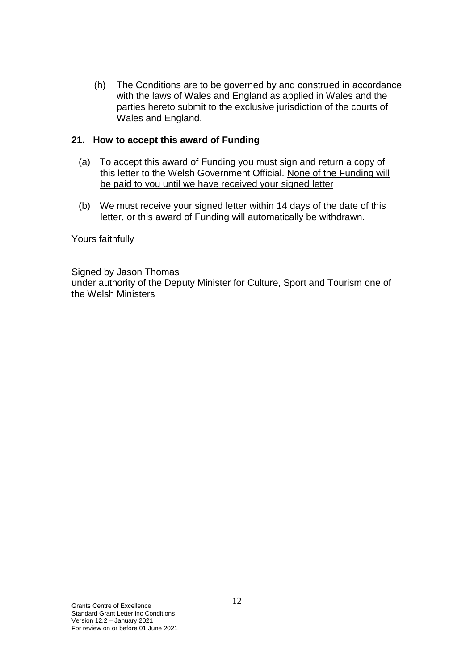(h) The Conditions are to be governed by and construed in accordance with the laws of Wales and England as applied in Wales and the parties hereto submit to the exclusive jurisdiction of the courts of Wales and England.

### **21. How to accept this award of Funding**

- (a) To accept this award of Funding you must sign and return a copy of this letter to the Welsh Government Official. None of the Funding will be paid to you until we have received your signed letter
- (b) We must receive your signed letter within 14 days of the date of this letter, or this award of Funding will automatically be withdrawn.

Yours faithfully

Signed by Jason Thomas under authority of the Deputy Minister for Culture, Sport and Tourism one of the Welsh Ministers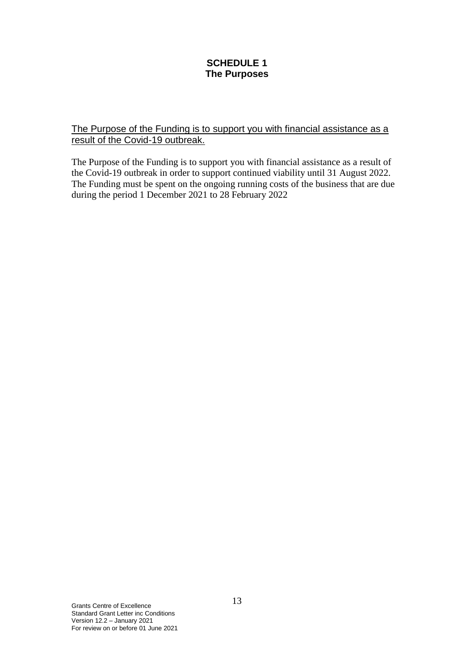## **SCHEDULE 1 The Purposes**

## The Purpose of the Funding is to support you with financial assistance as a result of the Covid-19 outbreak.

The Purpose of the Funding is to support you with financial assistance as a result of the Covid-19 outbreak in order to support continued viability until 31 August 2022. The Funding must be spent on the ongoing running costs of the business that are due during the period 1 December 2021 to 28 February 2022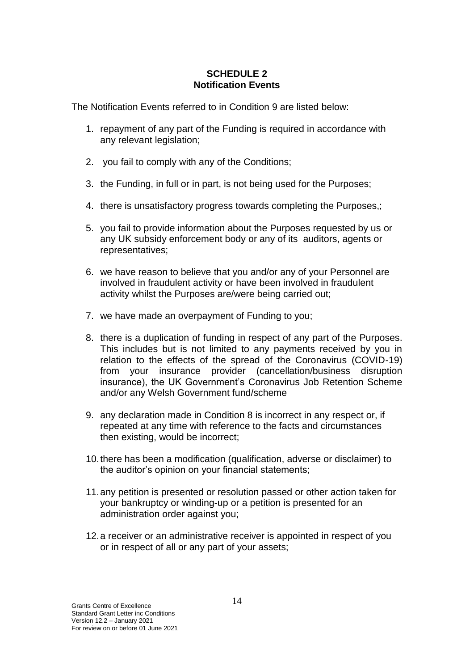## **SCHEDULE 2 Notification Events**

The Notification Events referred to in Condition 9 are listed below:

- 1. repayment of any part of the Funding is required in accordance with any relevant legislation;
- 2. you fail to comply with any of the Conditions;
- 3. the Funding, in full or in part, is not being used for the Purposes;
- 4. there is unsatisfactory progress towards completing the Purposes,;
- 5. you fail to provide information about the Purposes requested by us or any UK subsidy enforcement body or any of its auditors, agents or representatives;
- 6. we have reason to believe that you and/or any of your Personnel are involved in fraudulent activity or have been involved in fraudulent activity whilst the Purposes are/were being carried out;
- 7. we have made an overpayment of Funding to you;
- 8. there is a duplication of funding in respect of any part of the Purposes. This includes but is not limited to any payments received by you in relation to the effects of the spread of the Coronavirus (COVID-19) from your insurance provider (cancellation/business disruption insurance), the UK Government's Coronavirus Job Retention Scheme and/or any Welsh Government fund/scheme
- 9. any declaration made in Condition 8 is incorrect in any respect or, if repeated at any time with reference to the facts and circumstances then existing, would be incorrect;
- 10.there has been a modification (qualification, adverse or disclaimer) to the auditor's opinion on your financial statements;
- 11.any petition is presented or resolution passed or other action taken for your bankruptcy or winding-up or a petition is presented for an administration order against you;
- 12.a receiver or an administrative receiver is appointed in respect of you or in respect of all or any part of your assets;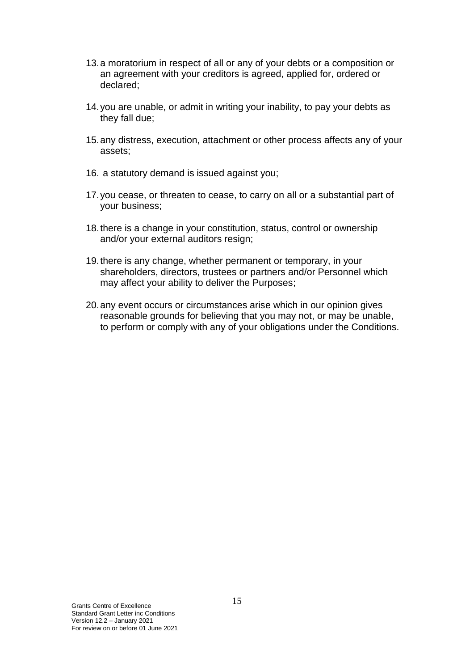- 13.a moratorium in respect of all or any of your debts or a composition or an agreement with your creditors is agreed, applied for, ordered or declared;
- 14.you are unable, or admit in writing your inability, to pay your debts as they fall due;
- 15.any distress, execution, attachment or other process affects any of your assets;
- 16. a statutory demand is issued against you;
- 17.you cease, or threaten to cease, to carry on all or a substantial part of your business;
- 18.there is a change in your constitution, status, control or ownership and/or your external auditors resign;
- 19.there is any change, whether permanent or temporary, in your shareholders, directors, trustees or partners and/or Personnel which may affect your ability to deliver the Purposes;
- 20.any event occurs or circumstances arise which in our opinion gives reasonable grounds for believing that you may not, or may be unable, to perform or comply with any of your obligations under the Conditions.